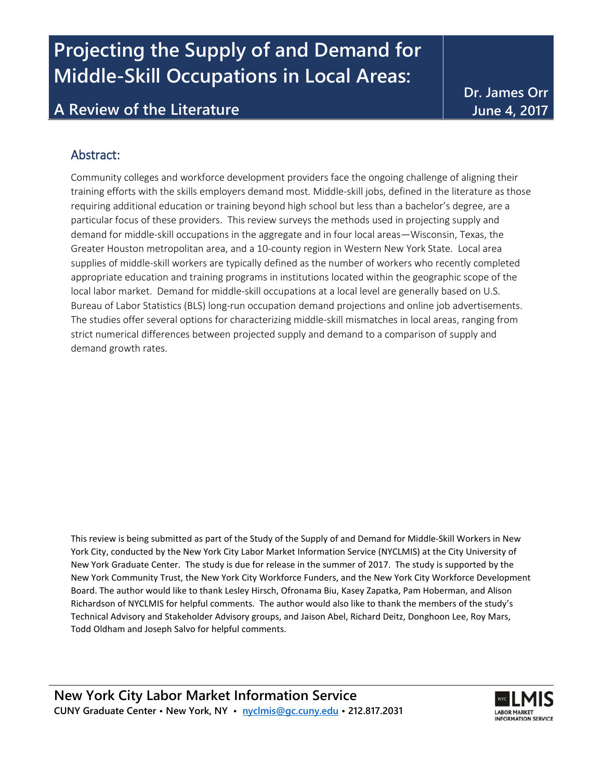# **Projecting the Supply of and Demand for Middle-Skill Occupations in Local Areas:**

## **A Review of the Literature**

**Dr. James Orr June 4, 2017**

#### Abstract:

Community colleges and workforce development providers face the ongoing challenge of aligning their training efforts with the skills employers demand most. Middle-skill jobs, defined in the literature as those requiring additional education or training beyond high school but less than a bachelor's degree, are a particular focus of these providers. This review surveys the methods used in projecting supply and demand for middle-skill occupations in the aggregate and in four local areas—Wisconsin, Texas, the Greater Houston metropolitan area, and a 10-county region in Western New York State. Local area supplies of middle-skill workers are typically defined as the number of workers who recently completed appropriate education and training programs in institutions located within the geographic scope of the local labor market. Demand for middle-skill occupations at a local level are generally based on U.S. Bureau of Labor Statistics (BLS) long-run occupation demand projections and online job advertisements. The studies offer several options for characterizing middle-skill mismatches in local areas, ranging from strict numerical differences between projected supply and demand to a comparison of supply and demand growth rates.

This review is being submitted as part of the Study of the Supply of and Demand for Middle-Skill Workers in New York City, conducted by the New York City Labor Market Information Service (NYCLMIS) at the City University of New York Graduate Center. The study is due for release in the summer of 2017. The study is supported by the New York Community Trust, the New York City Workforce Funders, and the New York City Workforce Development Board. The author would like to thank Lesley Hirsch, Ofronama Biu, Kasey Zapatka, Pam Hoberman, and Alison Richardson of NYCLMIS for helpful comments. The author would also like to thank the members of the study's Technical Advisory and Stakeholder Advisory groups, and Jaison Abel, Richard Deitz, Donghoon Lee, Roy Mars, Todd Oldham and Joseph Salvo for helpful comments.

**New York City Labor Market Information Service CUNY Graduate Center • New York, NY • [nyclmis@gc.cuny.edu](mailto:nyclmis@gc.cuny.edu) • 212.817.2031**

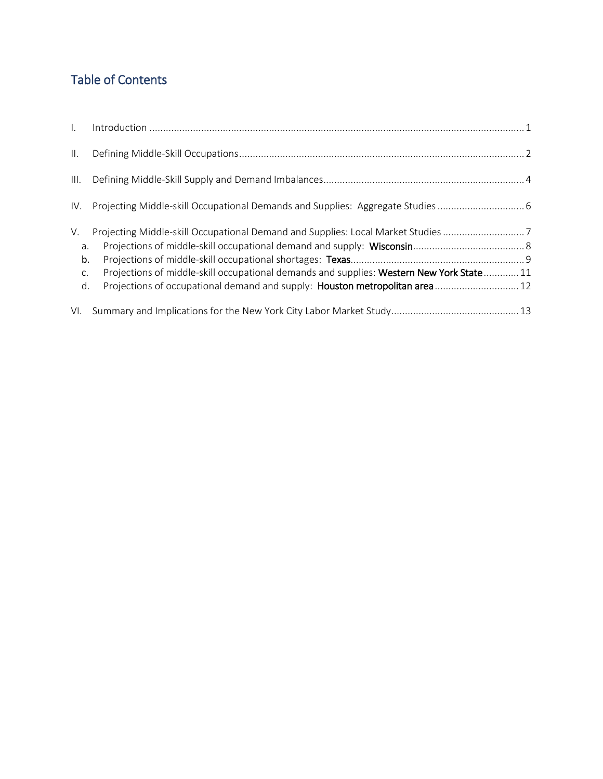# Table of Contents

| $\mathbf{II}$ . |                                                                                          |  |
|-----------------|------------------------------------------------------------------------------------------|--|
|                 |                                                                                          |  |
| III.            |                                                                                          |  |
|                 |                                                                                          |  |
| IV.             | Projecting Middle-skill Occupational Demands and Supplies: Aggregate Studies             |  |
|                 |                                                                                          |  |
| V.              | Projecting Middle-skill Occupational Demand and Supplies: Local Market Studies 7         |  |
| a.              |                                                                                          |  |
| b.              |                                                                                          |  |
| C.              | Projections of middle-skill occupational demands and supplies: Western New York State 11 |  |
| d.              | Projections of occupational demand and supply: Houston metropolitan area 12              |  |
|                 |                                                                                          |  |
| VI.             |                                                                                          |  |
|                 |                                                                                          |  |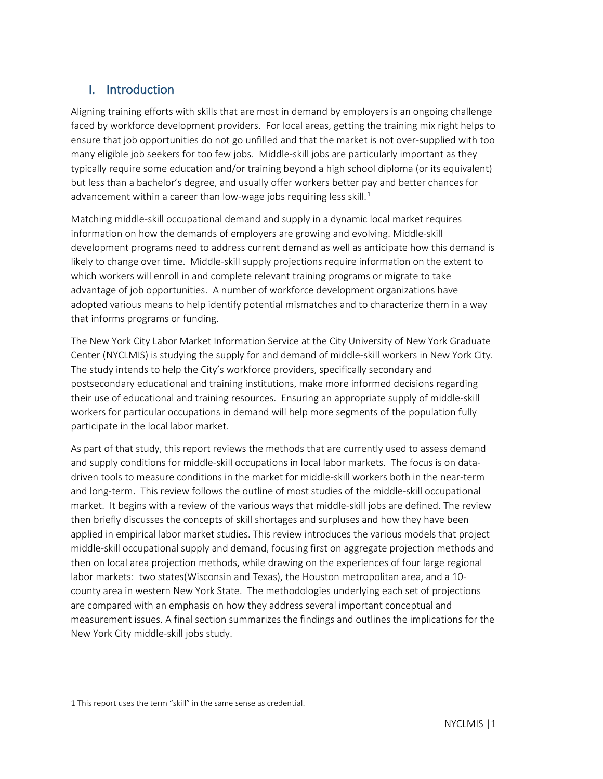#### <span id="page-2-0"></span>I. Introduction

Aligning training efforts with skills that are most in demand by employers is an ongoing challenge faced by workforce development providers. For local areas, getting the training mix right helps to ensure that job opportunities do not go unfilled and that the market is not over-supplied with too many eligible job seekers for too few jobs. Middle-skill jobs are particularly important as they typically require some education and/or training beyond a high school diploma (or its equivalent) but less than a bachelor's degree, and usually offer workers better pay and better chances for advancement within a career than low-wage jobs requiring less skill.<sup>[1](#page-2-1)</sup>

Matching middle-skill occupational demand and supply in a dynamic local market requires information on how the demands of employers are growing and evolving. Middle-skill development programs need to address current demand as well as anticipate how this demand is likely to change over time. Middle-skill supply projections require information on the extent to which workers will enroll in and complete relevant training programs or migrate to take advantage of job opportunities. A number of workforce development organizations have adopted various means to help identify potential mismatches and to characterize them in a way that informs programs or funding.

The New York City Labor Market Information Service at the City University of New York Graduate Center (NYCLMIS) is studying the supply for and demand of middle-skill workers in New York City. The study intends to help the City's workforce providers, specifically secondary and postsecondary educational and training institutions, make more informed decisions regarding their use of educational and training resources. Ensuring an appropriate supply of middle-skill workers for particular occupations in demand will help more segments of the population fully participate in the local labor market.

As part of that study, this report reviews the methods that are currently used to assess demand and supply conditions for middle-skill occupations in local labor markets. The focus is on datadriven tools to measure conditions in the market for middle-skill workers both in the near-term and long-term. This review follows the outline of most studies of the middle-skill occupational market. It begins with a review of the various ways that middle-skill jobs are defined. The review then briefly discusses the concepts of skill shortages and surpluses and how they have been applied in empirical labor market studies. This review introduces the various models that project middle-skill occupational supply and demand, focusing first on aggregate projection methods and then on local area projection methods, while drawing on the experiences of four large regional labor markets: two states(Wisconsin and Texas), the Houston metropolitan area, and a 10 county area in western New York State. The methodologies underlying each set of projections are compared with an emphasis on how they address several important conceptual and measurement issues. A final section summarizes the findings and outlines the implications for the New York City middle-skill jobs study.

<span id="page-2-1"></span><sup>1</sup> This report uses the term "skill" in the same sense as credential.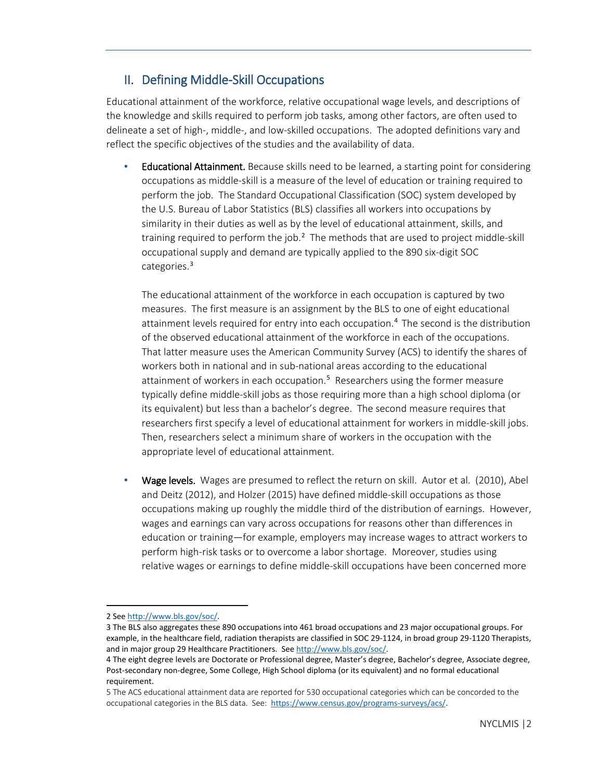#### <span id="page-3-0"></span>II. Defining Middle-Skill Occupations

Educational attainment of the workforce, relative occupational wage levels, and descriptions of the knowledge and skills required to perform job tasks, among other factors, are often used to delineate a set of high-, middle-, and low-skilled occupations. The adopted definitions vary and reflect the specific objectives of the studies and the availability of data.

**Educational Attainment.** Because skills need to be learned, a starting point for considering occupations as middle-skill is a measure of the level of education or training required to perform the job. The Standard Occupational Classification (SOC) system developed by the U.S. Bureau of Labor Statistics (BLS) classifies all workers into occupations by similarity in their duties as well as by the level of educational attainment, skills, and training required to perform the job.<sup>[2](#page-3-1)</sup> The methods that are used to project middle-skill occupational supply and demand are typically applied to the 890 six-digit SOC categories.<sup>[3](#page-3-2)</sup>

The educational attainment of the workforce in each occupation is captured by two measures. The first measure is an assignment by the BLS to one of eight educational attainment levels required for entry into each occupation.<sup>[4](#page-3-3)</sup> The second is the distribution of the observed educational attainment of the workforce in each of the occupations. That latter measure uses the American Community Survey (ACS) to identify the shares of workers both in national and in sub-national areas according to the educational attainment of workers in each occupation.<sup>[5](#page-3-4)</sup> Researchers using the former measure typically define middle-skill jobs as those requiring more than a high school diploma (or its equivalent) but less than a bachelor's degree. The second measure requires that researchers first specify a level of educational attainment for workers in middle-skill jobs. Then, researchers select a minimum share of workers in the occupation with the appropriate level of educational attainment.

Wage levels. Wages are presumed to reflect the return on skill. Autor et al. (2010), Abel and Deitz (2012), and Holzer (2015) have defined middle-skill occupations as those occupations making up roughly the middle third of the distribution of earnings. However, wages and earnings can vary across occupations for reasons other than differences in education or training—for example, employers may increase wages to attract workers to perform high-risk tasks or to overcome a labor shortage. Moreover, studies using relative wages or earnings to define middle-skill occupations have been concerned more

<sup>2</sup> Se[e http://www.bls.gov/soc/.](http://www.bls.gov/soc/)

<span id="page-3-2"></span><span id="page-3-1"></span><sup>3</sup> The BLS also aggregates these 890 occupations into 461 broad occupations and 23 major occupational groups. For example, in the healthcare field, radiation therapists are classified in SOC 29-1124, in broad group 29-1120 Therapists, and in major group 29 Healthcare Practitioners. See [http://www.bls.gov/soc/.](http://www.bls.gov/soc/)

<span id="page-3-3"></span><sup>4</sup> The eight degree levels are Doctorate or Professional degree, Master's degree, Bachelor's degree, Associate degree, Post-secondary non-degree, Some College, High School diploma (or its equivalent) and no formal educational requirement.

<span id="page-3-4"></span><sup>5</sup> The ACS educational attainment data are reported for 530 occupational categories which can be concorded to the occupational categories in the BLS data. See: [https://www.census.gov/programs-surveys/acs/.](https://www.census.gov/programs-surveys/acs/)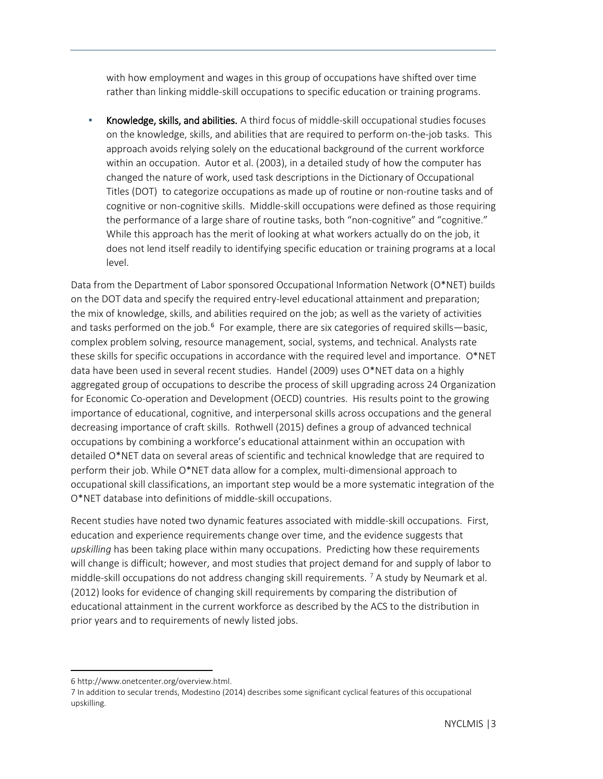with how employment and wages in this group of occupations have shifted over time rather than linking middle-skill occupations to specific education or training programs.

Knowledge, skills, and abilities. A third focus of middle-skill occupational studies focuses on the knowledge, skills, and abilities that are required to perform on-the-job tasks. This approach avoids relying solely on the educational background of the current workforce within an occupation. Autor et al. (2003), in a detailed study of how the computer has changed the nature of work, used task descriptions in the Dictionary of Occupational Titles (DOT) to categorize occupations as made up of routine or non-routine tasks and of cognitive or non-cognitive skills. Middle-skill occupations were defined as those requiring the performance of a large share of routine tasks, both "non-cognitive" and "cognitive." While this approach has the merit of looking at what workers actually do on the job, it does not lend itself readily to identifying specific education or training programs at a local level.

Data from the Department of Labor sponsored Occupational Information Network (O\*NET) builds on the DOT data and specify the required entry-level educational attainment and preparation; the mix of knowledge, skills, and abilities required on the job; as well as the variety of activities and tasks performed on the job.<sup>[6](#page-4-0)</sup> For example, there are six categories of required skills—basic, complex problem solving, resource management, social, systems, and technical. Analysts rate these skills for specific occupations in accordance with the required level and importance. O\*NET data have been used in several recent studies. Handel (2009) uses O\*NET data on a highly aggregated group of occupations to describe the process of skill upgrading across 24 Organization for Economic Co-operation and Development (OECD) countries. His results point to the growing importance of educational, cognitive, and interpersonal skills across occupations and the general decreasing importance of craft skills. Rothwell (2015) defines a group of advanced technical occupations by combining a workforce's educational attainment within an occupation with detailed O\*NET data on several areas of scientific and technical knowledge that are required to perform their job. While O\*NET data allow for a complex, multi-dimensional approach to occupational skill classifications, an important step would be a more systematic integration of the O\*NET database into definitions of middle-skill occupations.

Recent studies have noted two dynamic features associated with middle-skill occupations. First, education and experience requirements change over time, and the evidence suggests that *upskilling* has been taking place within many occupations. Predicting how these requirements will change is difficult; however, and most studies that project demand for and supply of labor to middle-skill occupations do not address changing skill requirements. [7](#page-4-1) A study by Neumark et al. (2012) looks for evidence of changing skill requirements by comparing the distribution of educational attainment in the current workforce as described by the ACS to the distribution in prior years and to requirements of newly listed jobs.

<span id="page-4-0"></span><sup>6</sup> http://www.onetcenter.org/overview.html.

<span id="page-4-1"></span><sup>7</sup> In addition to secular trends, Modestino (2014) describes some significant cyclical features of this occupational upskilling.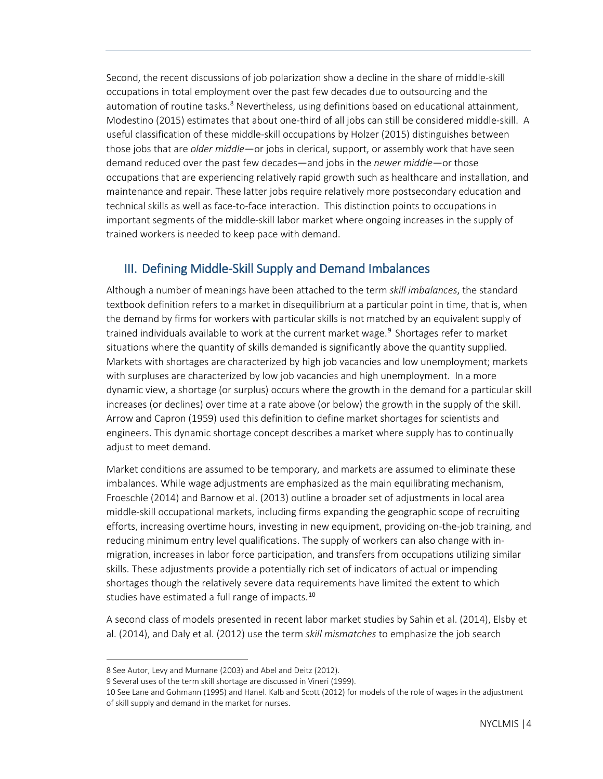Second, the recent discussions of job polarization show a decline in the share of middle-skill occupations in total employment over the past few decades due to outsourcing and the automation of routine tasks.<sup>[8](#page-5-1)</sup> Nevertheless, using definitions based on educational attainment, Modestino (2015) estimates that about one-third of all jobs can still be considered middle-skill. A useful classification of these middle-skill occupations by Holzer (2015) distinguishes between those jobs that are *older middle—*or jobs in clerical, support, or assembly work that have seen demand reduced over the past few decades*—*and jobs in the *newer middle—*or those occupations that are experiencing relatively rapid growth such as healthcare and installation, and maintenance and repair. These latter jobs require relatively more postsecondary education and technical skills as well as face-to-face interaction. This distinction points to occupations in important segments of the middle-skill labor market where ongoing increases in the supply of trained workers is needed to keep pace with demand.

#### <span id="page-5-0"></span>III. Defining Middle-Skill Supply and Demand Imbalances

Although a number of meanings have been attached to the term *skill imbalances*, the standard textbook definition refers to a market in disequilibrium at a particular point in time, that is, when the demand by firms for workers with particular skills is not matched by an equivalent supply of trained individuals available to work at the current market wage.<sup>[9](#page-5-2)</sup> Shortages refer to market situations where the quantity of skills demanded is significantly above the quantity supplied. Markets with shortages are characterized by high job vacancies and low unemployment; markets with surpluses are characterized by low job vacancies and high unemployment. In a more dynamic view, a shortage (or surplus) occurs where the growth in the demand for a particular skill increases (or declines) over time at a rate above (or below) the growth in the supply of the skill. Arrow and Capron (1959) used this definition to define market shortages for scientists and engineers. This dynamic shortage concept describes a market where supply has to continually adjust to meet demand.

Market conditions are assumed to be temporary, and markets are assumed to eliminate these imbalances. While wage adjustments are emphasized as the main equilibrating mechanism, Froeschle (2014) and Barnow et al. (2013) outline a broader set of adjustments in local area middle-skill occupational markets, including firms expanding the geographic scope of recruiting efforts, increasing overtime hours, investing in new equipment, providing on-the-job training, and reducing minimum entry level qualifications. The supply of workers can also change with inmigration, increases in labor force participation, and transfers from occupations utilizing similar skills. These adjustments provide a potentially rich set of indicators of actual or impending shortages though the relatively severe data requirements have limited the extent to which studies have estimated a full range of impacts.<sup>[10](#page-5-3)</sup>

A second class of models presented in recent labor market studies by Sahin et al. (2014), Elsby et al. (2014), and Daly et al. (2012) use the term *skill mismatches* to emphasize the job search

l

<span id="page-5-2"></span>9 Several uses of the term skill shortage are discussed in Vineri (1999).

<span id="page-5-1"></span><sup>8</sup> See Autor, Levy and Murnane (2003) and Abel and Deitz (2012).

<span id="page-5-3"></span><sup>10</sup> See Lane and Gohmann (1995) and Hanel. Kalb and Scott (2012) for models of the role of wages in the adjustment of skill supply and demand in the market for nurses.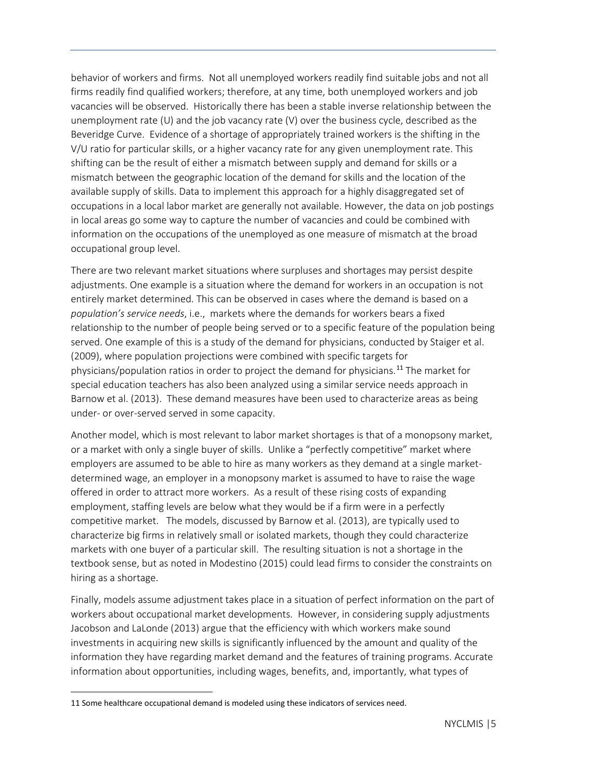behavior of workers and firms. Not all unemployed workers readily find suitable jobs and not all firms readily find qualified workers; therefore, at any time, both unemployed workers and job vacancies will be observed. Historically there has been a stable inverse relationship between the unemployment rate (U) and the job vacancy rate (V) over the business cycle, described as the Beveridge Curve. Evidence of a shortage of appropriately trained workers is the shifting in the V/U ratio for particular skills, or a higher vacancy rate for any given unemployment rate. This shifting can be the result of either a mismatch between supply and demand for skills or a mismatch between the geographic location of the demand for skills and the location of the available supply of skills. Data to implement this approach for a highly disaggregated set of occupations in a local labor market are generally not available. However, the data on job postings in local areas go some way to capture the number of vacancies and could be combined with information on the occupations of the unemployed as one measure of mismatch at the broad occupational group level.

There are two relevant market situations where surpluses and shortages may persist despite adjustments. One example is a situation where the demand for workers in an occupation is not entirely market determined. This can be observed in cases where the demand is based on a *population's service needs*, i.e., markets where the demands for workers bears a fixed relationship to the number of people being served or to a specific feature of the population being served. One example of this is a study of the demand for physicians, conducted by Staiger et al. (2009), where population projections were combined with specific targets for physicians/population ratios in order to project the demand for physicians.[11](#page-6-0) The market for special education teachers has also been analyzed using a similar service needs approach in Barnow et al. (2013). These demand measures have been used to characterize areas as being under- or over-served served in some capacity.

Another model, which is most relevant to labor market shortages is that of a monopsony market, or a market with only a single buyer of skills. Unlike a "perfectly competitive" market where employers are assumed to be able to hire as many workers as they demand at a single marketdetermined wage, an employer in a monopsony market is assumed to have to raise the wage offered in order to attract more workers. As a result of these rising costs of expanding employment, staffing levels are below what they would be if a firm were in a perfectly competitive market. The models, discussed by Barnow et al. (2013), are typically used to characterize big firms in relatively small or isolated markets, though they could characterize markets with one buyer of a particular skill. The resulting situation is not a shortage in the textbook sense, but as noted in Modestino (2015) could lead firms to consider the constraints on hiring as a shortage.

Finally, models assume adjustment takes place in a situation of perfect information on the part of workers about occupational market developments. However, in considering supply adjustments Jacobson and LaLonde (2013) argue that the efficiency with which workers make sound investments in acquiring new skills is significantly influenced by the amount and quality of the information they have regarding market demand and the features of training programs. Accurate information about opportunities, including wages, benefits, and, importantly, what types of

<span id="page-6-0"></span><sup>11</sup> Some healthcare occupational demand is modeled using these indicators of services need.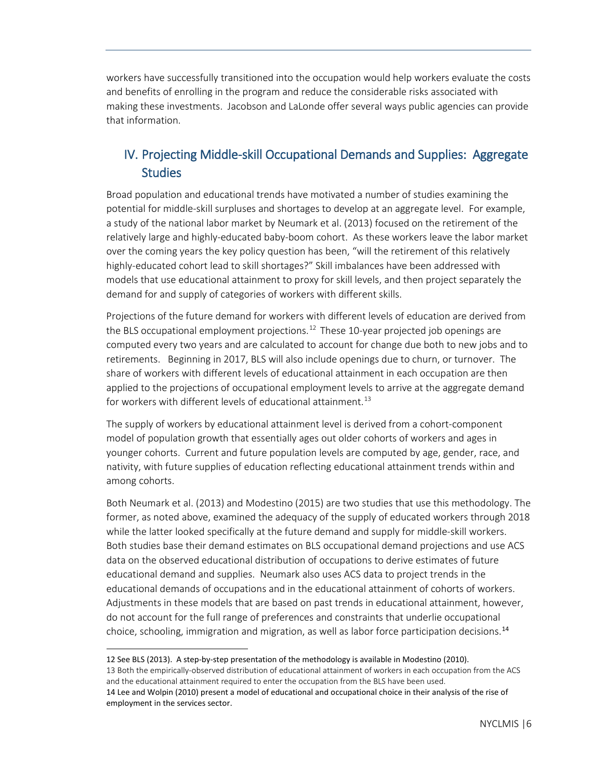workers have successfully transitioned into the occupation would help workers evaluate the costs and benefits of enrolling in the program and reduce the considerable risks associated with making these investments. Jacobson and LaLonde offer several ways public agencies can provide that information.

#### <span id="page-7-0"></span>IV. Projecting Middle-skill Occupational Demands and Supplies: Aggregate **Studies**

Broad population and educational trends have motivated a number of studies examining the potential for middle-skill surpluses and shortages to develop at an aggregate level. For example, a study of the national labor market by Neumark et al. (2013) focused on the retirement of the relatively large and highly-educated baby-boom cohort. As these workers leave the labor market over the coming years the key policy question has been, "will the retirement of this relatively highly-educated cohort lead to skill shortages?" Skill imbalances have been addressed with models that use educational attainment to proxy for skill levels, and then project separately the demand for and supply of categories of workers with different skills.

Projections of the future demand for workers with different levels of education are derived from the BLS occupational employment projections.<sup>[12](#page-7-1)</sup> These 10-year projected job openings are computed every two years and are calculated to account for change due both to new jobs and to retirements. Beginning in 2017, BLS will also include openings due to churn, or turnover. The share of workers with different levels of educational attainment in each occupation are then applied to the projections of occupational employment levels to arrive at the aggregate demand for workers with different levels of educational attainment.<sup>[13](#page-7-2)</sup>

The supply of workers by educational attainment level is derived from a cohort-component model of population growth that essentially ages out older cohorts of workers and ages in younger cohorts. Current and future population levels are computed by age, gender, race, and nativity, with future supplies of education reflecting educational attainment trends within and among cohorts.

Both Neumark et al. (2013) and Modestino (2015) are two studies that use this methodology. The former, as noted above, examined the adequacy of the supply of educated workers through 2018 while the latter looked specifically at the future demand and supply for middle-skill workers. Both studies base their demand estimates on BLS occupational demand projections and use ACS data on the observed educational distribution of occupations to derive estimates of future educational demand and supplies. Neumark also uses ACS data to project trends in the educational demands of occupations and in the educational attainment of cohorts of workers. Adjustments in these models that are based on past trends in educational attainment, however, do not account for the full range of preferences and constraints that underlie occupational choice, schooling, immigration and migration, as well as labor force participation decisions.[14](#page-7-3)

<span id="page-7-2"></span><span id="page-7-1"></span><sup>12</sup> See BLS (2013). A step-by-step presentation of the methodology is available in Modestino (2010). 13 Both the empirically-observed distribution of educational attainment of workers in each occupation from the ACS

<span id="page-7-3"></span>and the educational attainment required to enter the occupation from the BLS have been used. 14 Lee and Wolpin (2010) present a model of educational and occupational choice in their analysis of the rise of employment in the services sector.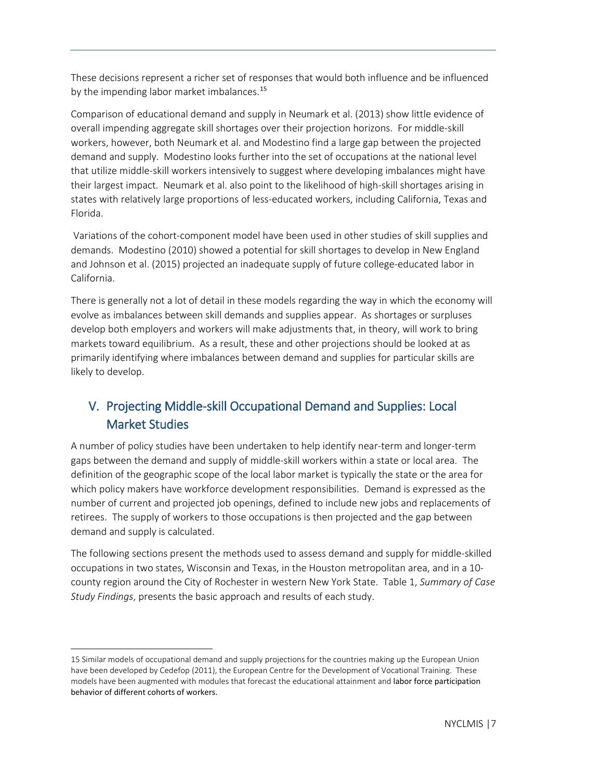These decisions represent a richer set of responses that would both influence and be influenced by the impending labor market imbalances.<sup>[15](#page-8-1)</sup>

Comparison of educational demand and supply in Neumark et al. (2013) show little evidence of overall impending aggregate skill shortages over their projection horizons. For middle-skill workers, however, both Neumark et al. and Modestino find a large gap between the projected demand and supply. Modestino looks further into the set of occupations at the national level that utilize middle-skill workers intensively to suggest where developing imbalances might have their largest impact. Neumark et al. also point to the likelihood of high-skill shortages arising in states with relatively large proportions of less-educated workers, including California, Texas and Florida.

Variations of the cohort-component model have been used in other studies of skill supplies and demands. Modestino (2010) showed a potential for skill shortages to develop in New England and Johnson et al. (2015) projected an inadequate supply of future college-educated labor in California.

There is generally not a lot of detail in these models regarding the way in which the economy will evolve as imbalances between skill demands and supplies appear. As shortages or surpluses develop both employers and workers will make adjustments that, in theory, will work to bring markets toward equilibrium. As a result, these and other projections should be looked at as primarily identifying where imbalances between demand and supplies for particular skills are likely to develop.

### <span id="page-8-0"></span>V. Projecting Middle-skill Occupational Demand and Supplies: Local Market Studies

A number of policy studies have been undertaken to help identify near-term and longer-term gaps between the demand and supply of middle-skill workers within a state or local area. The definition of the geographic scope of the local labor market is typically the state or the area for which policy makers have workforce development responsibilities. Demand is expressed as the number of current and projected job openings, defined to include new jobs and replacements of retirees. The supply of workers to those occupations is then projected and the gap between demand and supply is calculated.

The following sections present the methods used to assess demand and supply for middle-skilled occupations in two states, Wisconsin and Texas, in the Houston metropolitan area, and in a 10 county region around the City of Rochester in western New York State. Table 1, *Summary of Case Study Findings*, presents the basic approach and results of each study.

<span id="page-8-1"></span><sup>15</sup> Similar models of occupational demand and supply projections for the countries making up the European Union have been developed by Cedefop (2011), the European Centre for the Development of Vocational Training. These models have been augmented with modules that forecast the educational attainment and labor force participation behavior of different cohorts of workers.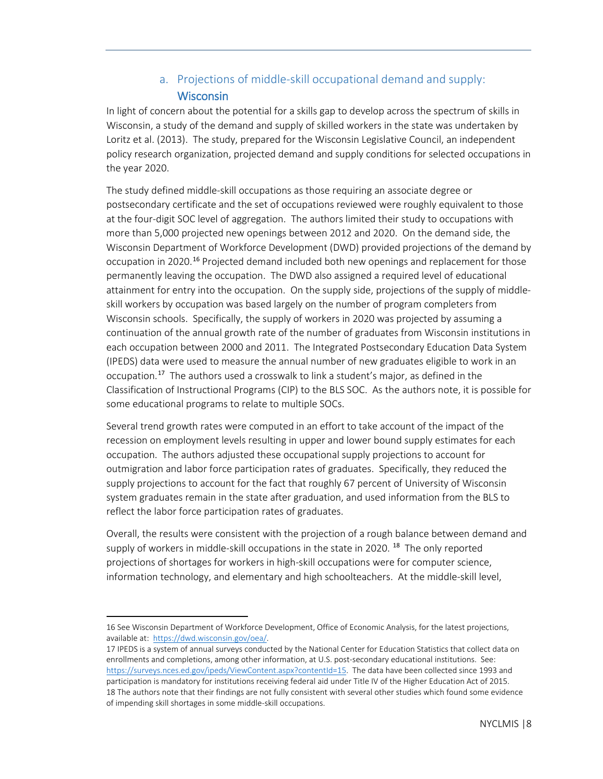#### a. Projections of middle-skill occupational demand and supply: **Wisconsin**

<span id="page-9-0"></span>In light of concern about the potential for a skills gap to develop across the spectrum of skills in Wisconsin, a study of the demand and supply of skilled workers in the state was undertaken by Loritz et al. (2013). The study, prepared for the Wisconsin Legislative Council, an independent policy research organization, projected demand and supply conditions for selected occupations in the year 2020.

The study defined middle-skill occupations as those requiring an associate degree or postsecondary certificate and the set of occupations reviewed were roughly equivalent to those at the four-digit SOC level of aggregation. The authors limited their study to occupations with more than 5,000 projected new openings between 2012 and 2020. On the demand side, the Wisconsin Department of Workforce Development (DWD) provided projections of the demand by occupation in 2020.<sup>[16](#page-9-1)</sup> Projected demand included both new openings and replacement for those permanently leaving the occupation. The DWD also assigned a required level of educational attainment for entry into the occupation. On the supply side, projections of the supply of middleskill workers by occupation was based largely on the number of program completers from Wisconsin schools. Specifically, the supply of workers in 2020 was projected by assuming a continuation of the annual growth rate of the number of graduates from Wisconsin institutions in each occupation between 2000 and 2011. The Integrated Postsecondary Education Data System (IPEDS) data were used to measure the annual number of new graduates eligible to work in an occupation.[17](#page-9-2) The authors used a crosswalk to link a student's major, as defined in the Classification of Instructional Programs (CIP) to the BLS SOC. As the authors note, it is possible for some educational programs to relate to multiple SOCs.

Several trend growth rates were computed in an effort to take account of the impact of the recession on employment levels resulting in upper and lower bound supply estimates for each occupation. The authors adjusted these occupational supply projections to account for outmigration and labor force participation rates of graduates. Specifically, they reduced the supply projections to account for the fact that roughly 67 percent of University of Wisconsin system graduates remain in the state after graduation, and used information from the BLS to reflect the labor force participation rates of graduates.

Overall, the results were consistent with the projection of a rough balance between demand and supply of workers in middle-skill occupations in the state in 2020.  $^{18}$  $^{18}$  $^{18}$  The only reported projections of shortages for workers in high-skill occupations were for computer science, information technology, and elementary and high schoolteachers. At the middle-skill level,

<span id="page-9-1"></span>l 16 See Wisconsin Department of Workforce Development, Office of Economic Analysis, for the latest projections, available at: [https://dwd.wisconsin.gov/oea/.](https://dwd.wisconsin.gov/oea/)

<span id="page-9-3"></span><span id="page-9-2"></span><sup>17</sup> IPEDS is a system of annual surveys conducted by the National Center for Education Statistics that collect data on enrollments and completions, among other information, at U.S. post-secondary educational institutions. See: [https://surveys.nces.ed.gov/ipeds/ViewContent.aspx?contentId=15.](https://surveys.nces.ed.gov/ipeds/ViewContent.aspx?contentId=15) The data have been collected since 1993 and participation is mandatory for institutions receiving federal aid under Title IV of the Higher Education Act of 2015. 18 The authors note that their findings are not fully consistent with several other studies which found some evidence of impending skill shortages in some middle-skill occupations.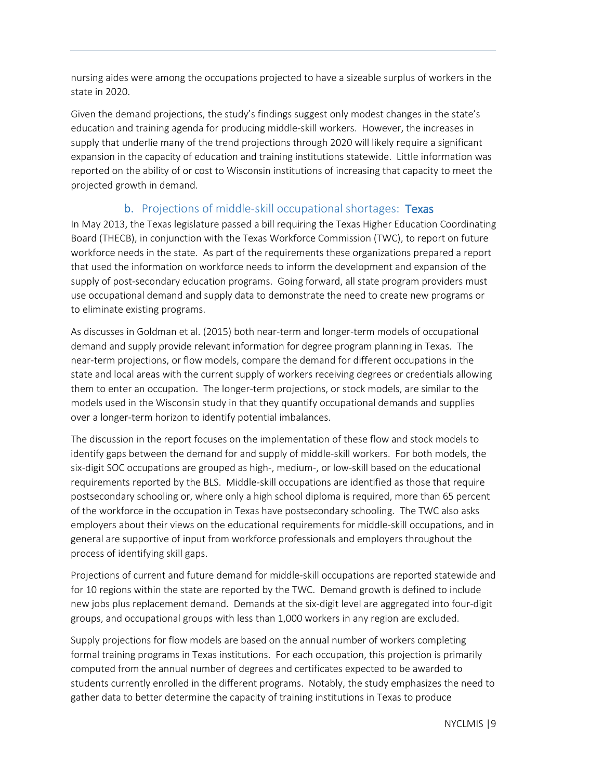nursing aides were among the occupations projected to have a sizeable surplus of workers in the state in 2020.

Given the demand projections, the study's findings suggest only modest changes in the state's education and training agenda for producing middle-skill workers. However, the increases in supply that underlie many of the trend projections through 2020 will likely require a significant expansion in the capacity of education and training institutions statewide. Little information was reported on the ability of or cost to Wisconsin institutions of increasing that capacity to meet the projected growth in demand.

#### b. Projections of middle-skill occupational shortages: Texas

<span id="page-10-0"></span>In May 2013, the Texas legislature passed a bill requiring the Texas Higher Education Coordinating Board (THECB), in conjunction with the Texas Workforce Commission (TWC), to report on future workforce needs in the state. As part of the requirements these organizations prepared a report that used the information on workforce needs to inform the development and expansion of the supply of post-secondary education programs. Going forward, all state program providers must use occupational demand and supply data to demonstrate the need to create new programs or to eliminate existing programs.

As discusses in Goldman et al. (2015) both near-term and longer-term models of occupational demand and supply provide relevant information for degree program planning in Texas. The near-term projections, or flow models, compare the demand for different occupations in the state and local areas with the current supply of workers receiving degrees or credentials allowing them to enter an occupation. The longer-term projections, or stock models, are similar to the models used in the Wisconsin study in that they quantify occupational demands and supplies over a longer-term horizon to identify potential imbalances.

The discussion in the report focuses on the implementation of these flow and stock models to identify gaps between the demand for and supply of middle-skill workers. For both models, the six-digit SOC occupations are grouped as high-, medium-, or low-skill based on the educational requirements reported by the BLS. Middle-skill occupations are identified as those that require postsecondary schooling or, where only a high school diploma is required, more than 65 percent of the workforce in the occupation in Texas have postsecondary schooling. The TWC also asks employers about their views on the educational requirements for middle-skill occupations, and in general are supportive of input from workforce professionals and employers throughout the process of identifying skill gaps.

Projections of current and future demand for middle-skill occupations are reported statewide and for 10 regions within the state are reported by the TWC. Demand growth is defined to include new jobs plus replacement demand. Demands at the six-digit level are aggregated into four-digit groups, and occupational groups with less than 1,000 workers in any region are excluded.

Supply projections for flow models are based on the annual number of workers completing formal training programs in Texas institutions. For each occupation, this projection is primarily computed from the annual number of degrees and certificates expected to be awarded to students currently enrolled in the different programs. Notably, the study emphasizes the need to gather data to better determine the capacity of training institutions in Texas to produce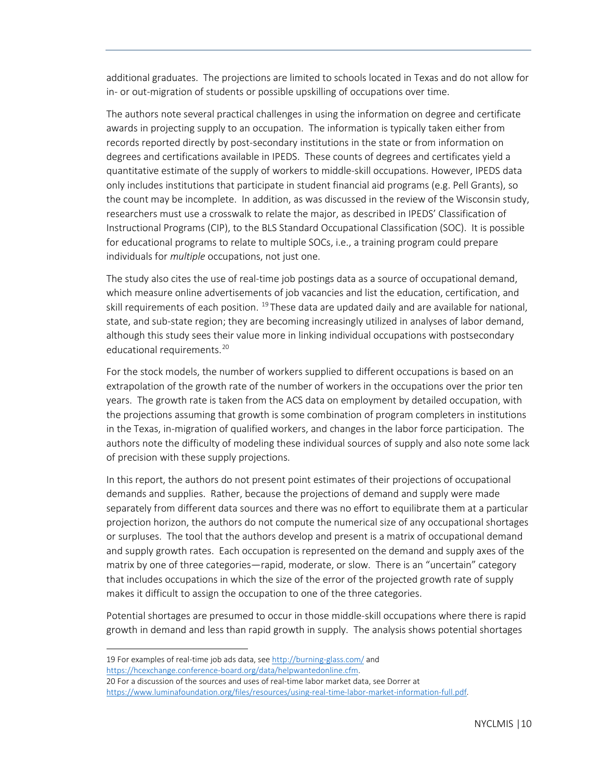additional graduates. The projections are limited to schools located in Texas and do not allow for in- or out-migration of students or possible upskilling of occupations over time.

The authors note several practical challenges in using the information on degree and certificate awards in projecting supply to an occupation. The information is typically taken either from records reported directly by post-secondary institutions in the state or from information on degrees and certifications available in IPEDS. These counts of degrees and certificates yield a quantitative estimate of the supply of workers to middle-skill occupations. However, IPEDS data only includes institutions that participate in student financial aid programs (e.g. Pell Grants), so the count may be incomplete. In addition, as was discussed in the review of the Wisconsin study, researchers must use a crosswalk to relate the major, as described in IPEDS' Classification of Instructional Programs (CIP), to the BLS Standard Occupational Classification (SOC). It is possible for educational programs to relate to multiple SOCs, i.e., a training program could prepare individuals for *multiple* occupations, not just one.

The study also cites the use of real-time job postings data as a source of occupational demand, which measure online advertisements of job vacancies and list the education, certification, and skill requirements of each position. <sup>[19](#page-11-0)</sup> These data are updated daily and are available for national, state, and sub-state region; they are becoming increasingly utilized in analyses of labor demand, although this study sees their value more in linking individual occupations with postsecondary educational requirements.<sup>20</sup>

For the stock models, the number of workers supplied to different occupations is based on an extrapolation of the growth rate of the number of workers in the occupations over the prior ten years. The growth rate is taken from the ACS data on employment by detailed occupation, with the projections assuming that growth is some combination of program completers in institutions in the Texas, in-migration of qualified workers, and changes in the labor force participation. The authors note the difficulty of modeling these individual sources of supply and also note some lack of precision with these supply projections.

In this report, the authors do not present point estimates of their projections of occupational demands and supplies. Rather, because the projections of demand and supply were made separately from different data sources and there was no effort to equilibrate them at a particular projection horizon, the authors do not compute the numerical size of any occupational shortages or surpluses. The tool that the authors develop and present is a matrix of occupational demand and supply growth rates. Each occupation is represented on the demand and supply axes of the matrix by one of three categories—rapid, moderate, or slow. There is an "uncertain" category that includes occupations in which the size of the error of the projected growth rate of supply makes it difficult to assign the occupation to one of the three categories.

Potential shortages are presumed to occur in those middle-skill occupations where there is rapid growth in demand and less than rapid growth in supply. The analysis shows potential shortages

[https://hcexchange.conference-board.org/data/helpwantedonline.cfm.](https://hcexchange.conference-board.org/data/helpwantedonline.cfm)

<span id="page-11-0"></span><sup>19</sup> For examples of real-time job ads data, se[e http://burning-glass.com/](http://burning-glass.com/) and

<span id="page-11-1"></span><sup>20</sup> For a discussion of the sources and uses of real-time labor market data, see Dorrer at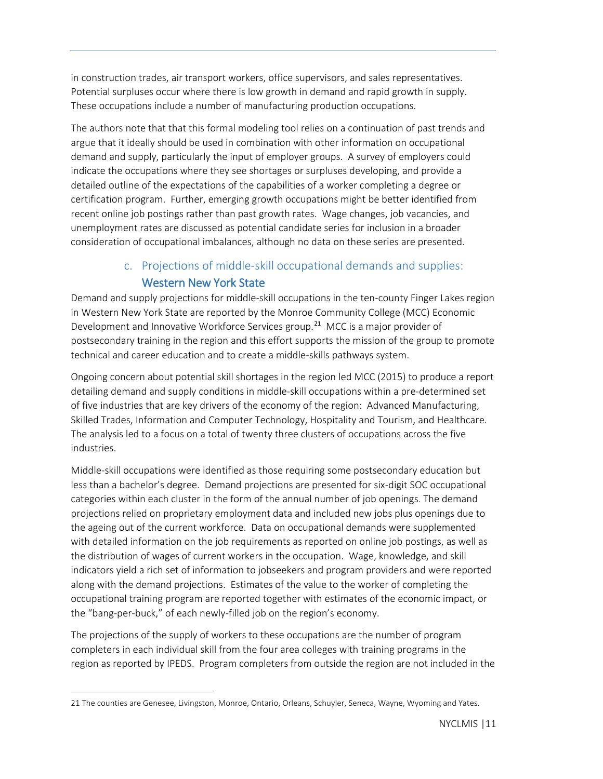in construction trades, air transport workers, office supervisors, and sales representatives. Potential surpluses occur where there is low growth in demand and rapid growth in supply. These occupations include a number of manufacturing production occupations.

The authors note that that this formal modeling tool relies on a continuation of past trends and argue that it ideally should be used in combination with other information on occupational demand and supply, particularly the input of employer groups. A survey of employers could indicate the occupations where they see shortages or surpluses developing, and provide a detailed outline of the expectations of the capabilities of a worker completing a degree or certification program. Further, emerging growth occupations might be better identified from recent online job postings rather than past growth rates. Wage changes, job vacancies, and unemployment rates are discussed as potential candidate series for inclusion in a broader consideration of occupational imbalances, although no data on these series are presented.

## c. Projections of middle-skill occupational demands and supplies: Western New York State

<span id="page-12-0"></span>Demand and supply projections for middle-skill occupations in the ten-county Finger Lakes region in Western New York State are reported by the Monroe Community College (MCC) Economic Development and Innovative Workforce Services group.<sup>[21](#page-12-1)</sup> MCC is a major provider of postsecondary training in the region and this effort supports the mission of the group to promote technical and career education and to create a middle-skills pathways system.

Ongoing concern about potential skill shortages in the region led MCC (2015) to produce a report detailing demand and supply conditions in middle-skill occupations within a pre-determined set of five industries that are key drivers of the economy of the region: Advanced Manufacturing, Skilled Trades, Information and Computer Technology, Hospitality and Tourism, and Healthcare. The analysis led to a focus on a total of twenty three clusters of occupations across the five industries.

Middle-skill occupations were identified as those requiring some postsecondary education but less than a bachelor's degree. Demand projections are presented for six-digit SOC occupational categories within each cluster in the form of the annual number of job openings. The demand projections relied on proprietary employment data and included new jobs plus openings due to the ageing out of the current workforce. Data on occupational demands were supplemented with detailed information on the job requirements as reported on online job postings, as well as the distribution of wages of current workers in the occupation. Wage, knowledge, and skill indicators yield a rich set of information to jobseekers and program providers and were reported along with the demand projections. Estimates of the value to the worker of completing the occupational training program are reported together with estimates of the economic impact, or the "bang-per-buck," of each newly-filled job on the region's economy.

The projections of the supply of workers to these occupations are the number of program completers in each individual skill from the four area colleges with training programs in the region as reported by IPEDS. Program completers from outside the region are not included in the

<span id="page-12-1"></span><sup>21</sup> The counties are Genesee, Livingston, Monroe, Ontario, Orleans, Schuyler, Seneca, Wayne, Wyoming and Yates.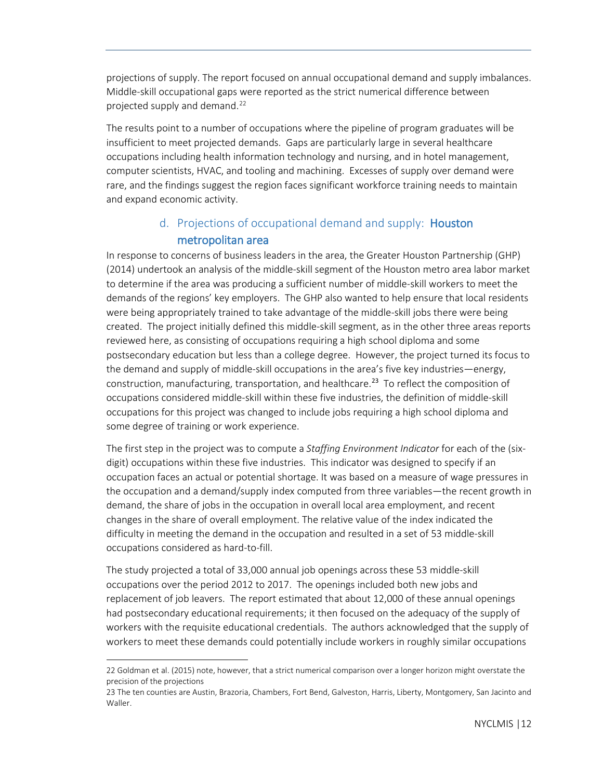projections of supply. The report focused on annual occupational demand and supply imbalances. Middle-skill occupational gaps were reported as the strict numerical difference between projected supply and demand. $^{22}$  $^{22}$  $^{22}$ 

The results point to a number of occupations where the pipeline of program graduates will be insufficient to meet projected demands. Gaps are particularly large in several healthcare occupations including health information technology and nursing, and in hotel management, computer scientists, HVAC, and tooling and machining. Excesses of supply over demand were rare, and the findings suggest the region faces significant workforce training needs to maintain and expand economic activity.

#### d. Projections of occupational demand and supply: Houston metropolitan area

<span id="page-13-0"></span>In response to concerns of business leaders in the area, the Greater Houston Partnership (GHP) (2014) undertook an analysis of the middle-skill segment of the Houston metro area labor market to determine if the area was producing a sufficient number of middle-skill workers to meet the demands of the regions' key employers. The GHP also wanted to help ensure that local residents were being appropriately trained to take advantage of the middle-skill jobs there were being created. The project initially defined this middle-skill segment, as in the other three areas reports reviewed here, as consisting of occupations requiring a high school diploma and some postsecondary education but less than a college degree. However, the project turned its focus to the demand and supply of middle-skill occupations in the area's five key industries—energy, construction, manufacturing, transportation, and healthcare.<sup>[23](#page-13-2)</sup> To reflect the composition of occupations considered middle-skill within these five industries, the definition of middle-skill occupations for this project was changed to include jobs requiring a high school diploma and some degree of training or work experience.

The first step in the project was to compute a *Staffing Environment Indicator* for each of the (sixdigit) occupations within these five industries. This indicator was designed to specify if an occupation faces an actual or potential shortage. It was based on a measure of wage pressures in the occupation and a demand/supply index computed from three variables—the recent growth in demand, the share of jobs in the occupation in overall local area employment, and recent changes in the share of overall employment. The relative value of the index indicated the difficulty in meeting the demand in the occupation and resulted in a set of 53 middle-skill occupations considered as hard-to-fill.

The study projected a total of 33,000 annual job openings across these 53 middle-skill occupations over the period 2012 to 2017. The openings included both new jobs and replacement of job leavers. The report estimated that about 12,000 of these annual openings had postsecondary educational requirements; it then focused on the adequacy of the supply of workers with the requisite educational credentials. The authors acknowledged that the supply of workers to meet these demands could potentially include workers in roughly similar occupations

<span id="page-13-1"></span><sup>22</sup> Goldman et al. (2015) note, however, that a strict numerical comparison over a longer horizon might overstate the precision of the projections

<span id="page-13-2"></span><sup>23</sup> The ten counties are Austin, Brazoria, Chambers, Fort Bend, Galveston, Harris, Liberty, Montgomery, San Jacinto and Waller.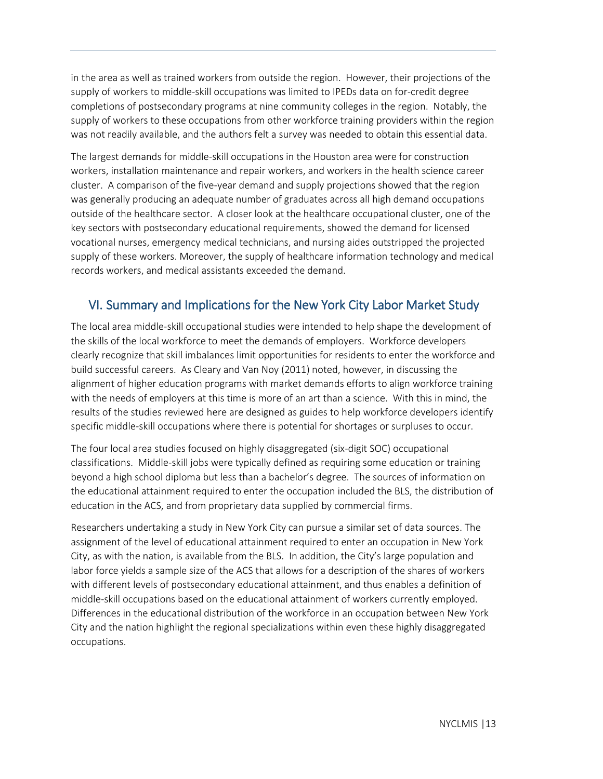in the area as well as trained workers from outside the region. However, their projections of the supply of workers to middle-skill occupations was limited to IPEDs data on for-credit degree completions of postsecondary programs at nine community colleges in the region. Notably, the supply of workers to these occupations from other workforce training providers within the region was not readily available, and the authors felt a survey was needed to obtain this essential data.

The largest demands for middle-skill occupations in the Houston area were for construction workers, installation maintenance and repair workers, and workers in the health science career cluster. A comparison of the five-year demand and supply projections showed that the region was generally producing an adequate number of graduates across all high demand occupations outside of the healthcare sector. A closer look at the healthcare occupational cluster, one of the key sectors with postsecondary educational requirements, showed the demand for licensed vocational nurses, emergency medical technicians, and nursing aides outstripped the projected supply of these workers. Moreover, the supply of healthcare information technology and medical records workers, and medical assistants exceeded the demand.

#### <span id="page-14-0"></span>VI. Summary and Implications for the New York City Labor Market Study

The local area middle-skill occupational studies were intended to help shape the development of the skills of the local workforce to meet the demands of employers. Workforce developers clearly recognize that skill imbalances limit opportunities for residents to enter the workforce and build successful careers. As Cleary and Van Noy (2011) noted, however, in discussing the alignment of higher education programs with market demands efforts to align workforce training with the needs of employers at this time is more of an art than a science. With this in mind, the results of the studies reviewed here are designed as guides to help workforce developers identify specific middle-skill occupations where there is potential for shortages or surpluses to occur.

The four local area studies focused on highly disaggregated (six-digit SOC) occupational classifications. Middle-skill jobs were typically defined as requiring some education or training beyond a high school diploma but less than a bachelor's degree. The sources of information on the educational attainment required to enter the occupation included the BLS, the distribution of education in the ACS, and from proprietary data supplied by commercial firms.

Researchers undertaking a study in New York City can pursue a similar set of data sources. The assignment of the level of educational attainment required to enter an occupation in New York City, as with the nation, is available from the BLS. In addition, the City's large population and labor force yields a sample size of the ACS that allows for a description of the shares of workers with different levels of postsecondary educational attainment, and thus enables a definition of middle-skill occupations based on the educational attainment of workers currently employed. Differences in the educational distribution of the workforce in an occupation between New York City and the nation highlight the regional specializations within even these highly disaggregated occupations.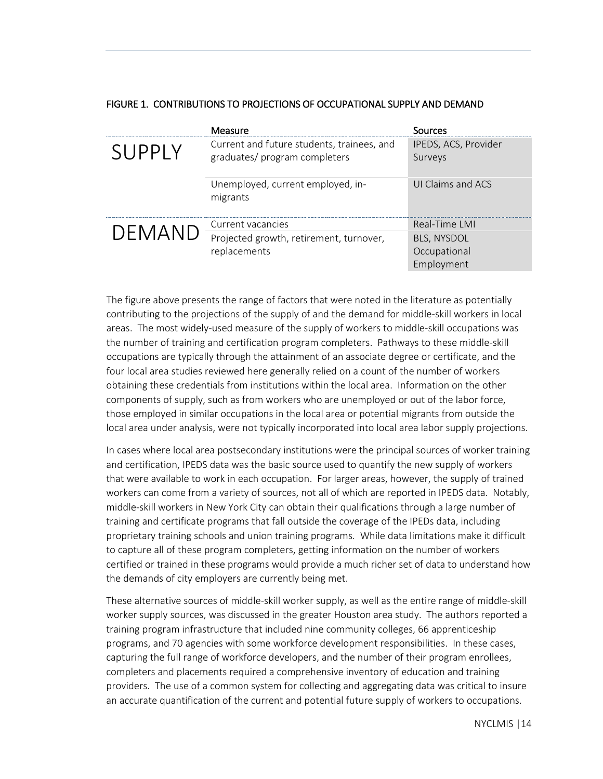#### FIGURE 1. CONTRIBUTIONS TO PROJECTIONS OF OCCUPATIONAL SUPPLY AND DEMAND

|          | Measure                                                                     | Sources                         |  |
|----------|-----------------------------------------------------------------------------|---------------------------------|--|
| SLIPPI Y | Current and future students, trainees, and<br>graduates/ program completers | IPEDS, ACS, Provider<br>Surveys |  |
|          | Unemployed, current employed, in-<br>migrants                               | UI Claims and ACS               |  |
| DEMAND   | Current vacancies                                                           | Real-Time LML                   |  |
|          | Projected growth, retirement, turnover,                                     | <b>BLS, NYSDOL</b>              |  |
|          | replacements                                                                | Occupational                    |  |
|          |                                                                             | Employment                      |  |

The figure above presents the range of factors that were noted in the literature as potentially contributing to the projections of the supply of and the demand for middle-skill workers in local areas. The most widely-used measure of the supply of workers to middle-skill occupations was the number of training and certification program completers. Pathways to these middle-skill occupations are typically through the attainment of an associate degree or certificate, and the four local area studies reviewed here generally relied on a count of the number of workers obtaining these credentials from institutions within the local area. Information on the other components of supply, such as from workers who are unemployed or out of the labor force, those employed in similar occupations in the local area or potential migrants from outside the local area under analysis, were not typically incorporated into local area labor supply projections.

In cases where local area postsecondary institutions were the principal sources of worker training and certification, IPEDS data was the basic source used to quantify the new supply of workers that were available to work in each occupation. For larger areas, however, the supply of trained workers can come from a variety of sources, not all of which are reported in IPEDS data. Notably, middle-skill workers in New York City can obtain their qualifications through a large number of training and certificate programs that fall outside the coverage of the IPEDs data, including proprietary training schools and union training programs. While data limitations make it difficult to capture all of these program completers, getting information on the number of workers certified or trained in these programs would provide a much richer set of data to understand how the demands of city employers are currently being met.

These alternative sources of middle-skill worker supply, as well as the entire range of middle-skill worker supply sources, was discussed in the greater Houston area study. The authors reported a training program infrastructure that included nine community colleges, 66 apprenticeship programs, and 70 agencies with some workforce development responsibilities. In these cases, capturing the full range of workforce developers, and the number of their program enrollees, completers and placements required a comprehensive inventory of education and training providers. The use of a common system for collecting and aggregating data was critical to insure an accurate quantification of the current and potential future supply of workers to occupations.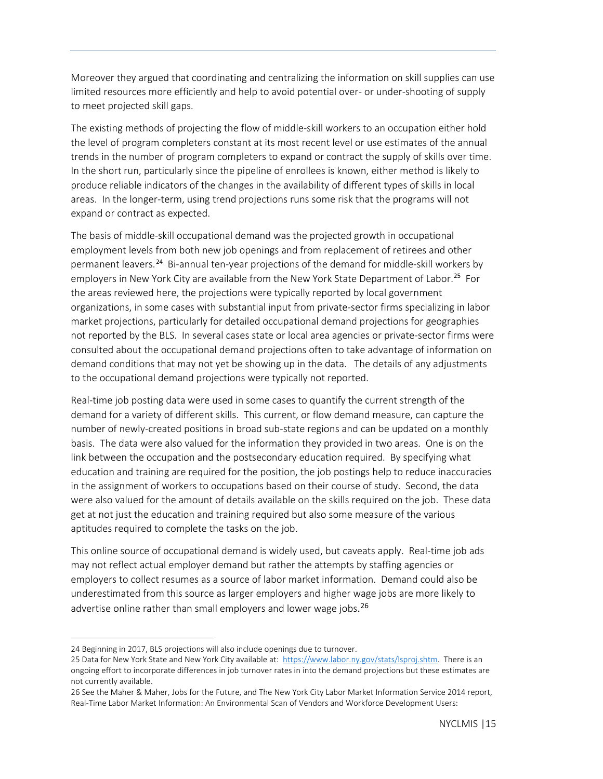Moreover they argued that coordinating and centralizing the information on skill supplies can use limited resources more efficiently and help to avoid potential over- or under-shooting of supply to meet projected skill gaps.

The existing methods of projecting the flow of middle-skill workers to an occupation either hold the level of program completers constant at its most recent level or use estimates of the annual trends in the number of program completers to expand or contract the supply of skills over time. In the short run, particularly since the pipeline of enrollees is known, either method is likely to produce reliable indicators of the changes in the availability of different types of skills in local areas. In the longer-term, using trend projections runs some risk that the programs will not expand or contract as expected.

The basis of middle-skill occupational demand was the projected growth in occupational employment levels from both new job openings and from replacement of retirees and other permanent leavers.[24](#page-16-0) Bi-annual ten-year projections of the demand for middle-skill workers by employers in New York City are available from the New York State Department of Labor.<sup>[25](#page-16-1)</sup> For the areas reviewed here, the projections were typically reported by local government organizations, in some cases with substantial input from private-sector firms specializing in labor market projections, particularly for detailed occupational demand projections for geographies not reported by the BLS. In several cases state or local area agencies or private-sector firms were consulted about the occupational demand projections often to take advantage of information on demand conditions that may not yet be showing up in the data. The details of any adjustments to the occupational demand projections were typically not reported.

Real-time job posting data were used in some cases to quantify the current strength of the demand for a variety of different skills. This current, or flow demand measure, can capture the number of newly-created positions in broad sub-state regions and can be updated on a monthly basis. The data were also valued for the information they provided in two areas. One is on the link between the occupation and the postsecondary education required. By specifying what education and training are required for the position, the job postings help to reduce inaccuracies in the assignment of workers to occupations based on their course of study. Second, the data were also valued for the amount of details available on the skills required on the job. These data get at not just the education and training required but also some measure of the various aptitudes required to complete the tasks on the job.

This online source of occupational demand is widely used, but caveats apply. Real-time job ads may not reflect actual employer demand but rather the attempts by staffing agencies or employers to collect resumes as a source of labor market information. Demand could also be underestimated from this source as larger employers and higher wage jobs are more likely to advertise online rather than small employers and lower wage jobs.<sup>[26](#page-16-2)</sup>

<span id="page-16-0"></span><sup>24</sup> Beginning in 2017, BLS projections will also include openings due to turnover.

<span id="page-16-1"></span><sup>25</sup> Data for New York State and New York City available at: [https://www.labor.ny.gov/stats/lsproj.shtm.](https://www.labor.ny.gov/stats/lsproj.shtm) There is an ongoing effort to incorporate differences in job turnover rates in into the demand projections but these estimates are not currently available.

<span id="page-16-2"></span><sup>26</sup> See the Maher & Maher, Jobs for the Future, and The New York City Labor Market Information Service 2014 report, Real-Time Labor Market Information: An Environmental Scan of Vendors and Workforce Development Users: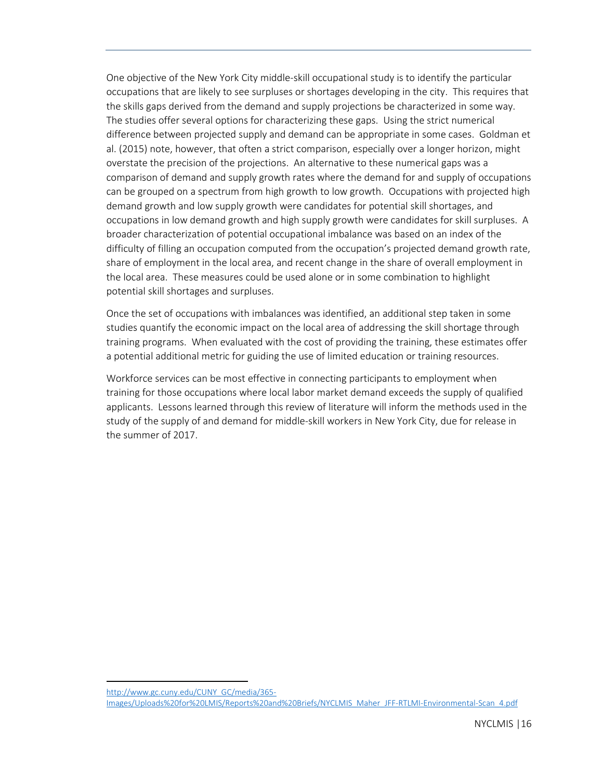One objective of the New York City middle-skill occupational study is to identify the particular occupations that are likely to see surpluses or shortages developing in the city. This requires that the skills gaps derived from the demand and supply projections be characterized in some way. The studies offer several options for characterizing these gaps. Using the strict numerical difference between projected supply and demand can be appropriate in some cases. Goldman et al. (2015) note, however, that often a strict comparison, especially over a longer horizon, might overstate the precision of the projections. An alternative to these numerical gaps was a comparison of demand and supply growth rates where the demand for and supply of occupations can be grouped on a spectrum from high growth to low growth. Occupations with projected high demand growth and low supply growth were candidates for potential skill shortages, and occupations in low demand growth and high supply growth were candidates for skill surpluses. A broader characterization of potential occupational imbalance was based on an index of the difficulty of filling an occupation computed from the occupation's projected demand growth rate, share of employment in the local area, and recent change in the share of overall employment in the local area. These measures could be used alone or in some combination to highlight potential skill shortages and surpluses.

Once the set of occupations with imbalances was identified, an additional step taken in some studies quantify the economic impact on the local area of addressing the skill shortage through training programs. When evaluated with the cost of providing the training, these estimates offer a potential additional metric for guiding the use of limited education or training resources.

Workforce services can be most effective in connecting participants to employment when training for those occupations where local labor market demand exceeds the supply of qualified applicants. Lessons learned through this review of literature will inform the methods used in the study of the supply of and demand for middle-skill workers in New York City, due for release in the summer of 2017.

[http://www.gc.cuny.edu/CUNY\\_GC/media/365-](http://www.gc.cuny.edu/CUNY_GC/media/365-Images/Uploads%20for%20LMIS/Reports%20and%20Briefs/NYCLMIS_Maher_JFF-RTLMI-Environmental-Scan_4.pdf)

[Images/Uploads%20for%20LMIS/Reports%20and%20Briefs/NYCLMIS\\_Maher\\_JFF-RTLMI-Environmental-Scan\\_4.pdf](http://www.gc.cuny.edu/CUNY_GC/media/365-Images/Uploads%20for%20LMIS/Reports%20and%20Briefs/NYCLMIS_Maher_JFF-RTLMI-Environmental-Scan_4.pdf)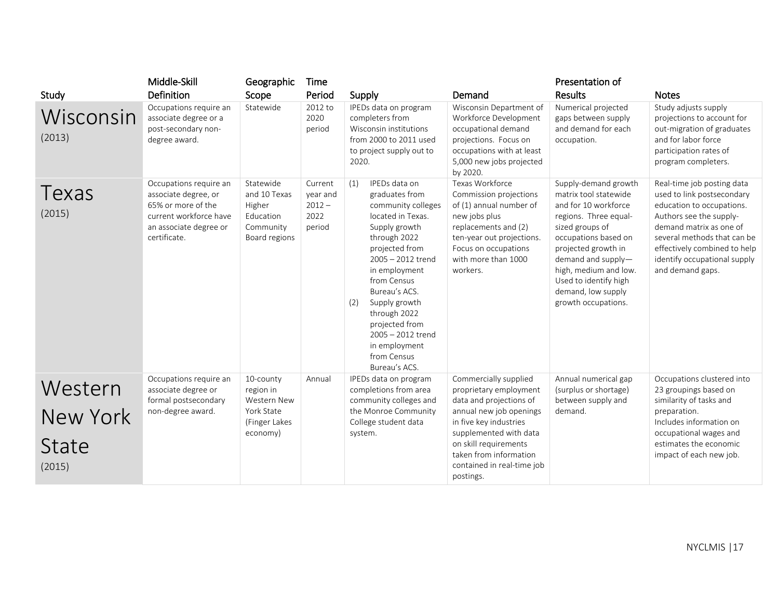|                                    | Middle-Skill                                                                                                                             | Geographic                                                                     | Time                                              |                                                                                                                                                                                                                                                                                                                                            |                                                                                                                                                                                                       | Presentation of                                                                                                                                                                                                                                                                       |                                                                                                                                                                                                                                                                |
|------------------------------------|------------------------------------------------------------------------------------------------------------------------------------------|--------------------------------------------------------------------------------|---------------------------------------------------|--------------------------------------------------------------------------------------------------------------------------------------------------------------------------------------------------------------------------------------------------------------------------------------------------------------------------------------------|-------------------------------------------------------------------------------------------------------------------------------------------------------------------------------------------------------|---------------------------------------------------------------------------------------------------------------------------------------------------------------------------------------------------------------------------------------------------------------------------------------|----------------------------------------------------------------------------------------------------------------------------------------------------------------------------------------------------------------------------------------------------------------|
| Study                              | Definition                                                                                                                               | Scope                                                                          | Period                                            | Supply                                                                                                                                                                                                                                                                                                                                     | Demand                                                                                                                                                                                                | <b>Results</b>                                                                                                                                                                                                                                                                        | <b>Notes</b>                                                                                                                                                                                                                                                   |
| Wisconsin<br>(2013)                | Occupations require an<br>associate degree or a<br>post-secondary non-<br>degree award.                                                  | Statewide                                                                      | 2012 to<br>2020<br>period                         | IPEDs data on program<br>completers from<br>Wisconsin institutions<br>from 2000 to 2011 used<br>to project supply out to<br>2020.                                                                                                                                                                                                          | Wisconsin Department of<br>Workforce Development<br>occupational demand<br>projections. Focus on<br>occupations with at least<br>5,000 new jobs projected<br>by 2020.                                 | Numerical projected<br>gaps between supply<br>and demand for each<br>occupation.                                                                                                                                                                                                      | Study adjusts supply<br>projections to account for<br>out-migration of graduates<br>and for labor force<br>participation rates of<br>program completers.                                                                                                       |
| Texas<br>(2015)                    | Occupations require an<br>associate degree, or<br>65% or more of the<br>current workforce have<br>an associate degree or<br>certificate. | Statewide<br>and 10 Texas<br>Higher<br>Education<br>Community<br>Board regions | Current<br>year and<br>$2012 -$<br>2022<br>period | IPEDs data on<br>(1)<br>graduates from<br>community colleges<br>located in Texas.<br>Supply growth<br>through 2022<br>projected from<br>2005 - 2012 trend<br>in employment<br>from Census<br>Bureau's ACS.<br>Supply growth<br>(2)<br>through 2022<br>projected from<br>2005 - 2012 trend<br>in employment<br>from Census<br>Bureau's ACS. | Texas Workforce<br>Commission projections<br>of (1) annual number of<br>new jobs plus<br>replacements and (2)<br>ten-year out projections.<br>Focus on occupations<br>with more than 1000<br>workers. | Supply-demand growth<br>matrix tool statewide<br>and for 10 workforce<br>regions. Three equal-<br>sized groups of<br>occupations based on<br>projected growth in<br>demand and supply-<br>high, medium and low.<br>Used to identify high<br>demand, low supply<br>growth occupations. | Real-time job posting data<br>used to link postsecondary<br>education to occupations.<br>Authors see the supply-<br>demand matrix as one of<br>several methods that can be<br>effectively combined to help<br>identify occupational supply<br>and demand gaps. |
| Western                            | Occupations require an<br>associate degree or<br>formal postsecondary                                                                    | 10-county<br>region in<br>Western New                                          | Annual                                            | IPEDs data on program<br>completions from area<br>community colleges and                                                                                                                                                                                                                                                                   | Commercially supplied<br>proprietary employment<br>data and projections of                                                                                                                            | Annual numerical gap<br>(surplus or shortage)<br>between supply and                                                                                                                                                                                                                   | Occupations clustered into<br>23 groupings based on<br>similarity of tasks and                                                                                                                                                                                 |
| New York<br><b>State</b><br>(2015) | non-degree award.                                                                                                                        | York State<br>(Finger Lakes<br>economy)                                        |                                                   | the Monroe Community<br>College student data<br>system.                                                                                                                                                                                                                                                                                    | annual new job openings<br>in five key industries<br>supplemented with data<br>on skill requirements<br>taken from information<br>contained in real-time job<br>postings.                             | demand.                                                                                                                                                                                                                                                                               | preparation.<br>Includes information on<br>occupational wages and<br>estimates the economic<br>impact of each new job.                                                                                                                                         |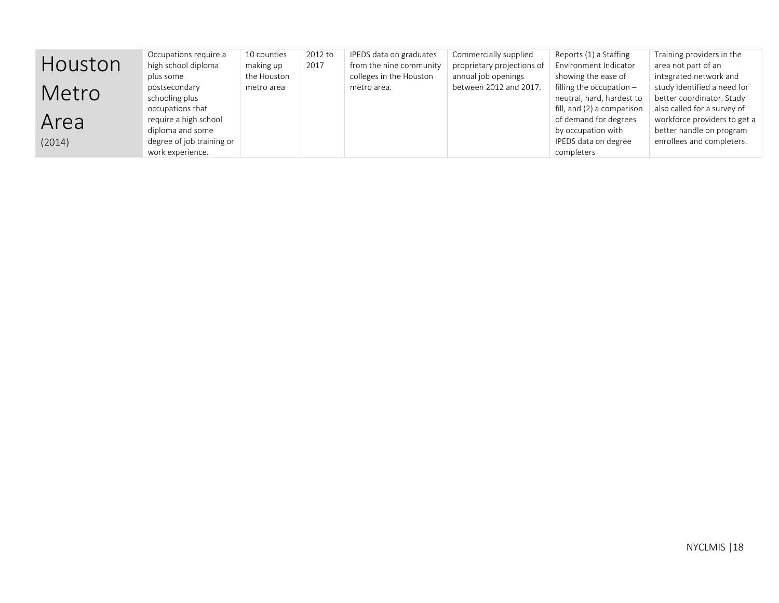| Houston      | Occupations require a<br>high school diploma<br>plus some | 10 counties<br>making up<br>the Houston | 2012 to<br>2017 | IPEDS data on graduates<br>from the nine community<br>colleges in the Houston | Commercially supplied<br>proprietary projections of<br>annual job openings | Reports (1) a Staffing<br>Environment Indicator<br>showing the ease of                | Training providers in the<br>area not part of an<br>integrated network and              |
|--------------|-----------------------------------------------------------|-----------------------------------------|-----------------|-------------------------------------------------------------------------------|----------------------------------------------------------------------------|---------------------------------------------------------------------------------------|-----------------------------------------------------------------------------------------|
| <b>Metro</b> | postsecondary<br>schooling plus<br>occupations that       | metro area                              |                 | metro area.                                                                   | between 2012 and 2017.                                                     | filling the occupation $-$<br>neutral, hard, hardest to<br>fill, and (2) a comparison | study identified a need for<br>better coordinator. Study<br>also called for a survey of |
| Area         | require a high school<br>diploma and some                 |                                         |                 |                                                                               |                                                                            | of demand for degrees<br>by occupation with                                           | workforce providers to get a<br>better handle on program                                |
| (2014)       | degree of job training or<br>work experience.             |                                         |                 |                                                                               |                                                                            | IPEDS data on degree<br>completers                                                    | enrollees and completers.                                                               |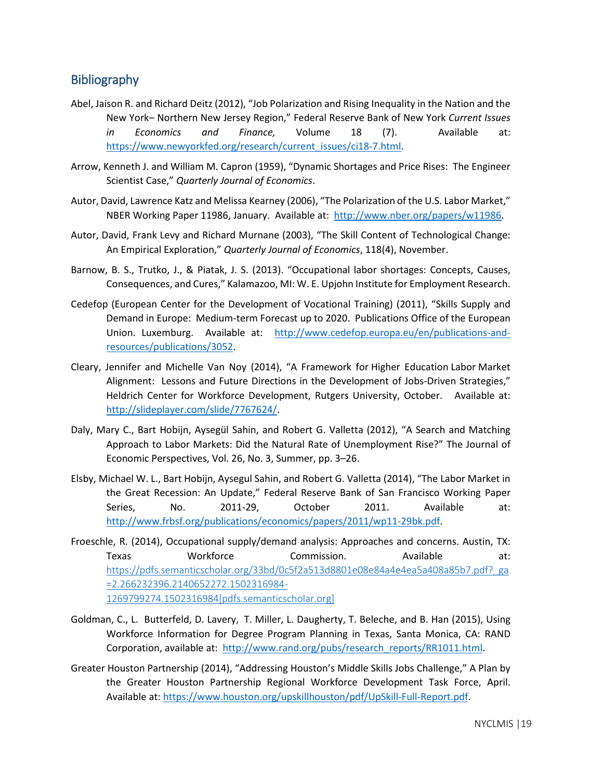#### **Bibliography**

- Abel, Jaison R. and Richard Deitz (2012), "Job Polarization and Rising Inequality in the Nation and the New York– Northern New Jersey Region," Federal Reserve Bank of New York *Current Issues in Economics and Finance,* Volume 18 (7). Available at: [https://www.newyorkfed.org/research/current\\_issues/ci18-7.html.](https://www.newyorkfed.org/research/current_issues/ci18-7.html)
- Arrow, Kenneth J. and William M. Capron (1959), "Dynamic Shortages and Price Rises: The Engineer Scientist Case," *Quarterly Journal of Economics*.
- Autor, David, Lawrence Katz and Melissa Kearney (2006), "The Polarization of the U.S. Labor Market," NBER Working Paper 11986, January. Available at: [http://www.nber.org/papers/w11986.](http://www.nber.org/papers/w11986)
- Autor, David, Frank Levy and Richard Murnane (2003), "The Skill Content of Technological Change: An Empirical Exploration," *Quarterly Journal of Economics*, 118(4), November.
- Barnow, B. S., Trutko, J., & Piatak, J. S. (2013). "Occupational labor shortages: Concepts, Causes, Consequences, and Cures," Kalamazoo, MI: W. E. Upjohn Institute for Employment Research.
- Cedefop (European Center for the Development of Vocational Training) (2011), "Skills Supply and Demand in Europe: Medium-term Forecast up to 2020. Publications Office of the European Union. Luxemburg. Available at: [http://www.cedefop.europa.eu/en/publications-and](http://www.cedefop.europa.eu/en/publications-and-resources/publications/3052)[resources/publications/3052.](http://www.cedefop.europa.eu/en/publications-and-resources/publications/3052)
- Cleary, Jennifer and Michelle Van Noy (2014), "A Framework for Higher Education Labor Market Alignment: Lessons and Future Directions in the Development of Jobs-Driven Strategies," Heldrich Center for Workforce Development, Rutgers University, October. Available at: [http://slideplayer.com/slide/7767624/.](http://slideplayer.com/slide/7767624/)
- Daly, Mary C., Bart Hobijn, Aysegül Sahin, and Robert G. Valletta (2012), "A Search and Matching Approach to Labor Markets: Did the Natural Rate of Unemployment Rise?" The Journal of Economic Perspectives, Vol. 26, No. 3, Summer, pp. 3–26.
- Elsby, Michael W. L., Bart Hobijn, Aysegul Sahin, and Robert G. Valletta (2014), "The Labor Market in the Great Recession: An Update," Federal Reserve Bank of San Francisco Working Paper Series, No. 2011-29, October 2011. Available at: [http://www.frbsf.org/publications/economics/papers/2011/wp11-29bk.pdf.](http://www.frbsf.org/publications/economics/papers/2011/wp11-29bk.pdf)
- Froeschle, R. (2014), Occupational supply/demand analysis: Approaches and concerns. Austin, TX: Texas Workforce Commission. Available at: [https://pdfs.semanticscholar.org/33bd/0c5f2a513d8801e08e84a4e4ea5a408a85b7.pdf?\\_ga](https://urldefense.proofpoint.com/v2/url?u=https-3A__pdfs.semanticscholar.org_33bd_0c5f2a513d8801e08e84a4e4ea5a408a85b7.pdf-3F-5Fga-3D2.266232396.2140652272.1502316984-2D1269799274.1502316984&d=DwMFaQ&c=8v77JlHZOYsReeOxyYXDU39VUUzHxyfBUh7fw_ZfBDA&r=BafzjNiVxskvJQarWr0lFA&m=V9NrRxnBTAeMv5mz_wOp6JIoGNiPI9a0Y6vfNOJLyEU&s=j3cF-Fb1VIHeNwyt_EOPcgDOEql8e6NUjxYqD5NSYpA&e=) [=2.266232396.2140652272.1502316984-](https://urldefense.proofpoint.com/v2/url?u=https-3A__pdfs.semanticscholar.org_33bd_0c5f2a513d8801e08e84a4e4ea5a408a85b7.pdf-3F-5Fga-3D2.266232396.2140652272.1502316984-2D1269799274.1502316984&d=DwMFaQ&c=8v77JlHZOYsReeOxyYXDU39VUUzHxyfBUh7fw_ZfBDA&r=BafzjNiVxskvJQarWr0lFA&m=V9NrRxnBTAeMv5mz_wOp6JIoGNiPI9a0Y6vfNOJLyEU&s=j3cF-Fb1VIHeNwyt_EOPcgDOEql8e6NUjxYqD5NSYpA&e=) [1269799274.1502316984\[pdfs.semanticscholar.org\]](https://urldefense.proofpoint.com/v2/url?u=https-3A__pdfs.semanticscholar.org_33bd_0c5f2a513d8801e08e84a4e4ea5a408a85b7.pdf-3F-5Fga-3D2.266232396.2140652272.1502316984-2D1269799274.1502316984&d=DwMFaQ&c=8v77JlHZOYsReeOxyYXDU39VUUzHxyfBUh7fw_ZfBDA&r=BafzjNiVxskvJQarWr0lFA&m=V9NrRxnBTAeMv5mz_wOp6JIoGNiPI9a0Y6vfNOJLyEU&s=j3cF-Fb1VIHeNwyt_EOPcgDOEql8e6NUjxYqD5NSYpA&e=)
- Goldman, C., L. Butterfeld, D. Lavery, T. Miller, L. Daugherty, T. Beleche, and B. Han (2015), Using Workforce Information for Degree Program Planning in Texas, Santa Monica, CA: RAND Corporation, available at: [http://www.rand.org/pubs/research\\_reports/RR1011.html.](http://www.rand.org/pubs/research_reports/RR1011.html)
- Greater Houston Partnership (2014), "Addressing Houston's Middle Skills Jobs Challenge," A Plan by the Greater Houston Partnership Regional Workforce Development Task Force, April. Available at[: https://www.houston.org/upskillhouston/pdf/UpSkill-Full-Report.pdf.](https://www.houston.org/upskillhouston/pdf/UpSkill-Full-Report.pdf)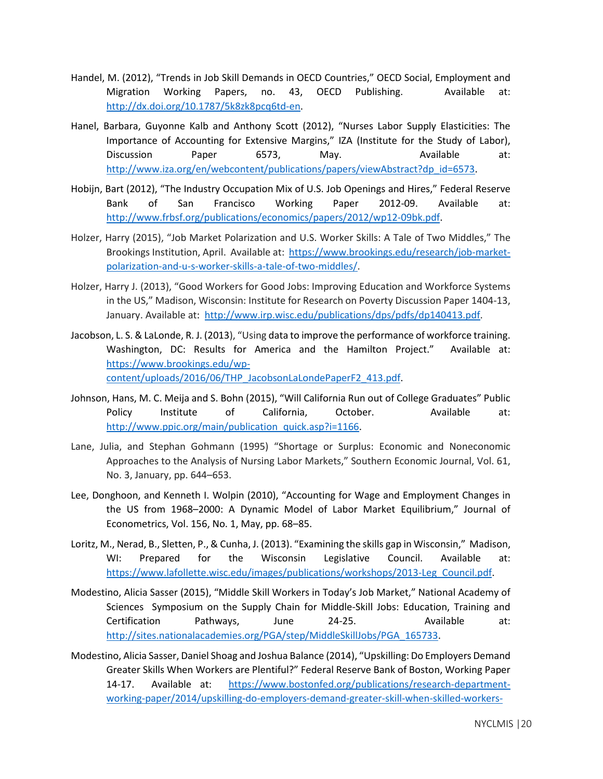- Handel, M. (2012), "Trends in Job Skill Demands in OECD Countries," OECD Social, Employment and Migration Working Papers, no. 43, OECD Publishing. Available at: [http://dx.doi.org/10.1787/5k8zk8pcq6td-en.](http://dx.doi.org/10.1787/5k8zk8pcq6td-en)
- Hanel, Barbara, Guyonne Kalb and Anthony Scott (2012), "Nurses Labor Supply Elasticities: The Importance of Accounting for Extensive Margins," IZA (Institute for the Study of Labor), Discussion Paper 6573, May. Available at: [http://www.iza.org/en/webcontent/publications/papers/viewAbstract?dp\\_id=6573.](http://www.iza.org/en/webcontent/publications/papers/viewAbstract?dp_id=6573)
- Hobijn, Bart (2012), "The Industry Occupation Mix of U.S. Job Openings and Hires," Federal Reserve Bank of San Francisco Working Paper 2012-09. Available at: [http://www.frbsf.org/publications/economics/papers/2012/wp12-09bk.pdf.](http://www.frbsf.org/publications/economics/papers/2012/wp12-09bk.pdf)
- Holzer, Harry (2015), "Job Market Polarization and U.S. Worker Skills: A Tale of Two Middles," The Brookings Institution, April. Available at: [https://www.brookings.edu/research/job-market](https://www.brookings.edu/research/job-market-polarization-and-u-s-worker-skills-a-tale-of-two-middles/)[polarization-and-u-s-worker-skills-a-tale-of-two-middles/.](https://www.brookings.edu/research/job-market-polarization-and-u-s-worker-skills-a-tale-of-two-middles/)
- Holzer, Harry J. (2013), "Good Workers for Good Jobs: Improving Education and Workforce Systems in the US," Madison, Wisconsin: Institute for Research on Poverty Discussion Paper 1404-13, January. Available at: [http://www.irp.wisc.edu/publications/dps/pdfs/dp140413.pdf.](http://www.irp.wisc.edu/publications/dps/pdfs/dp140413.pdf)
- Jacobson, L. S. & LaLonde, R. J. (2013), "Using data to improve the performance of workforce training. Washington, DC: Results for America and the Hamilton Project." Available at: [https://www.brookings.edu/wp](https://www.brookings.edu/wp-content/uploads/2016/06/THP_JacobsonLaLondePaperF2_413.pdf)[content/uploads/2016/06/THP\\_JacobsonLaLondePaperF2\\_413.pdf.](https://www.brookings.edu/wp-content/uploads/2016/06/THP_JacobsonLaLondePaperF2_413.pdf)
- Johnson, Hans, M. C. Meija and S. Bohn (2015), "Will California Run out of College Graduates" Public Policy Institute of California, October. Available at: [http://www.ppic.org/main/publication\\_quick.asp?i=1166.](http://www.ppic.org/main/publication_quick.asp?i=1166)
- Lane, Julia, and Stephan Gohmann (1995) "Shortage or Surplus: Economic and Noneconomic Approaches to the Analysis of Nursing Labor Markets," Southern Economic Journal, Vol. 61, No. 3, January, pp. 644–653.
- Lee, Donghoon, and Kenneth I. Wolpin (2010), "Accounting for Wage and Employment Changes in the US from 1968–2000: A Dynamic Model of Labor Market Equilibrium," Journal of Econometrics, Vol. 156, No. 1, May, pp. 68–85.
- Loritz, M., Nerad, B., Sletten, P., & Cunha, J. (2013). "Examining the skills gap in Wisconsin," Madison, WI: Prepared for the Wisconsin Legislative Council. Available at: [https://www.lafollette.wisc.edu/images/publications/workshops/2013-Leg\\_Council.pdf.](https://www.lafollette.wisc.edu/images/publications/workshops/2013-Leg_Council.pdf)
- Modestino, Alicia Sasser (2015), "Middle Skill Workers in Today's Job Market," National Academy of Sciences Symposium on the Supply Chain for Middle-Skill Jobs: Education, Training and Certification Pathways, June 24-25. Available at: [http://sites.nationalacademies.org/PGA/step/MiddleSkillJobs/PGA\\_165733.](http://sites.nationalacademies.org/PGA/step/MiddleSkillJobs/PGA_165733)
- Modestino, Alicia Sasser, Daniel Shoag and Joshua Balance (2014), "Upskilling: Do Employers Demand Greater Skills When Workers are Plentiful?" Federal Reserve Bank of Boston, Working Paper 14-17. Available at: [https://www.bostonfed.org/publications/research-department](https://www.bostonfed.org/publications/research-department-working-paper/2014/upskilling-do-employers-demand-greater-skill-when-skilled-workers-are-plentiful.aspx)[working-paper/2014/upskilling-do-employers-demand-greater-skill-when-skilled-workers-](https://www.bostonfed.org/publications/research-department-working-paper/2014/upskilling-do-employers-demand-greater-skill-when-skilled-workers-are-plentiful.aspx)